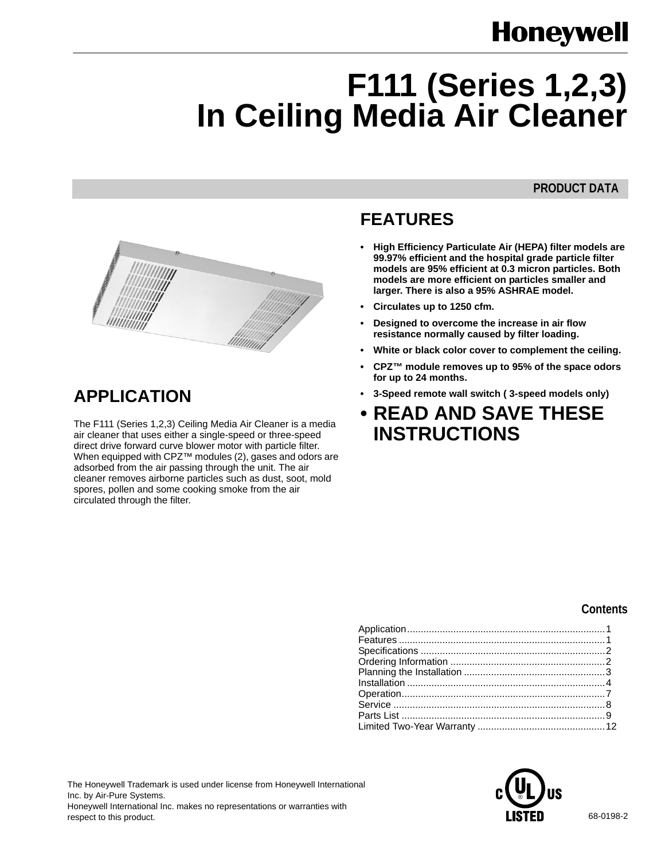# **Honeywell**

# **F111 (Series 1,2,3) In Ceiling Media Air Cleaner**

# **PRODUCT DATA**



# **APPLICATION**

The F111 (Series 1,2,3) Ceiling Media Air Cleaner is a media air cleaner that uses either a single-speed or three-speed direct drive forward curve blower motor with particle filter. When equipped with CPZ™ modules (2), gases and odors are adsorbed from the air passing through the unit. The air cleaner removes airborne particles such as dust, soot, mold spores, pollen and some cooking smoke from the air circulated through the filter.

# **FEATURES**

- **High Efficiency Particulate Air (HEPA) filter models are 99.97% efficient and the hospital grade particle filter models are 95% efficient at 0.3 micron particles. Both models are more efficient on particles smaller and larger. There is also a 95% ASHRAE model.**
- **Circulates up to 1250 cfm.**
- **Designed to overcome the increase in air flow resistance normally caused by filter loading.**
- **White or black color cover to complement the ceiling.**
- **CPZ™ module removes up to 95% of the space odors for up to 24 months.**
- **3-Speed remote wall switch ( 3-speed models only)**
- **READ AND SAVE THESE INSTRUCTIONS**

# **Contents**

The Honeywell Trademark is used under license from Honeywell International Inc. by Air-Pure Systems. Honeywell International Inc. makes no representations or warranties with respect to this product. **EXTED** 68-0198-2

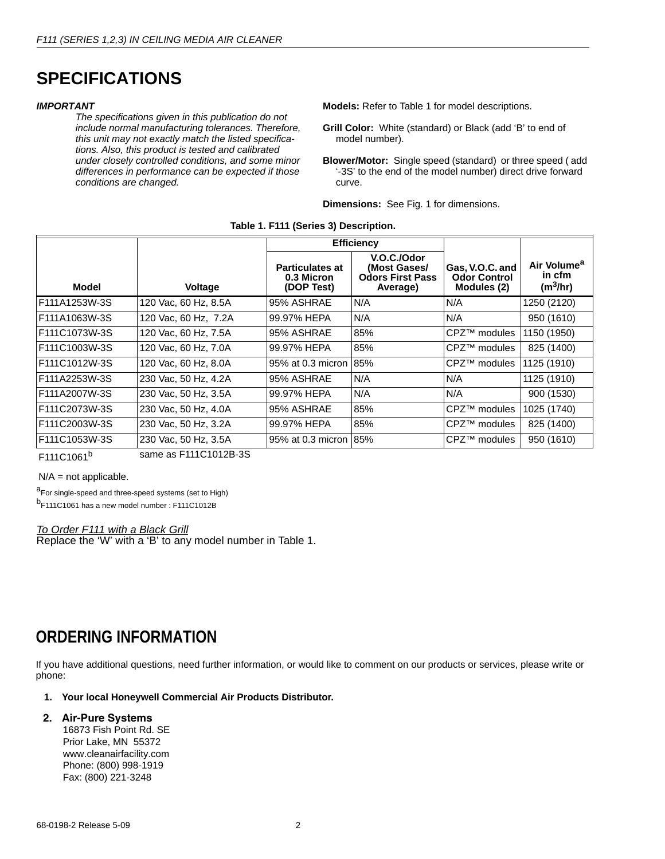# **SPECIFICATIONS**

#### *IMPORTANT*

*The specifications given in this publication do not include normal manufacturing tolerances. Therefore, this unit may not exactly match the listed specifications. Also, this product is tested and calibrated under closely controlled conditions, and some minor differences in performance can be expected if those conditions are changed.*

**Models:** Refer to Table 1 for model descriptions.

- **Grill Color:** White (standard) or Black (add 'B' to end of model number).
- **Blower/Motor:** Single speed (standard) or three speed ( add '-3S' to the end of the model number) direct drive forward curve.

**Dimensions:** See Fig. 1 for dimensions.

|  | Table 1. F111 (Series 3) Description. |
|--|---------------------------------------|
|--|---------------------------------------|

|                |                                         | <b>Efficiency</b>                                  |                                                                    |                                                       |                                                           |
|----------------|-----------------------------------------|----------------------------------------------------|--------------------------------------------------------------------|-------------------------------------------------------|-----------------------------------------------------------|
| Model          | <b>Voltage</b>                          | <b>Particulates at</b><br>0.3 Micron<br>(DOP Test) | V.O.C./Odor<br>(Most Gases/<br><b>Odors First Pass</b><br>Average) | Gas, V.O.C. and<br><b>Odor Control</b><br>Modules (2) | Air Volume <sup>a</sup><br>in cfm<br>(m <sup>3</sup> /hr) |
| F111A1253W-3S  | 120 Vac, 60 Hz, 8.5A                    | 95% ASHRAE                                         | N/A                                                                | N/A                                                   | 1250 (2120)                                               |
| F111A1063W-3S  | 120 Vac, 60 Hz, 7.2A                    | 99.97% HEPA                                        | N/A                                                                | N/A                                                   | 950 (1610)                                                |
| F111C1073W-3S  | 120 Vac, 60 Hz, 7.5A                    | 95% ASHRAE                                         | 85%                                                                | CPZ™ modules                                          | 1150 (1950)                                               |
| F111C1003W-3S  | 120 Vac, 60 Hz, 7.0A                    | 99.97% HEPA                                        | 85%                                                                | CPZ™ modules                                          | 825 (1400)                                                |
| F111C1012W-3S  | 120 Vac. 60 Hz, 8.0A                    | 95% at 0.3 micron                                  | 85%                                                                | CPZ™ modules                                          | 1125 (1910)                                               |
| F111A2253W-3S  | 230 Vac, 50 Hz, 4.2A                    | 95% ASHRAE                                         | N/A                                                                | N/A                                                   | 1125 (1910)                                               |
| F111A2007W-3S  | 230 Vac, 50 Hz, 3.5A                    | 99.97% HEPA                                        | N/A                                                                | N/A                                                   | 900 (1530)                                                |
| F111C2073W-3S  | 230 Vac, 50 Hz, 4.0A                    | 95% ASHRAE                                         | 85%                                                                | CPZ™ modules                                          | 1025 (1740)                                               |
| F111C2003W-3S  | 230 Vac, 50 Hz, 3.2A                    | 99.97% HEPA                                        | 85%                                                                | CPZ™ modules                                          | 825 (1400)                                                |
| IF111C1053W-3S | 230 Vac, 50 Hz, 3.5A<br>$-111010100000$ | 95% at 0.3 micron 185%                             |                                                                    | CPZ™ modules                                          | 950 (1610)                                                |

F111C1061<sup>b</sup>

same as F111C1012B-3S

 $N/A$  = not applicable.

a<sub>For single-speed and three-speed systems (set to High)</sub> b<sub>F111C1061</sub> has a new model number : F111C1012B

#### *To Order F111 with a Black Grill*

Replace the 'W' with a 'B' to any model number in Table 1.

# **ORDERING INFORMATION**

If you have additional questions, need further information, or would like to comment on our products or services, please write or phone:

## **1. Your local Honeywell Commercial Air Products Distributor.**

#### **2. Air-Pure Systems**

 16873 Fish Point Rd. SE Prior Lake, MN 55372 www.cleanairfacility.com Phone: (800) 998-1919 Fax: (800) 221-3248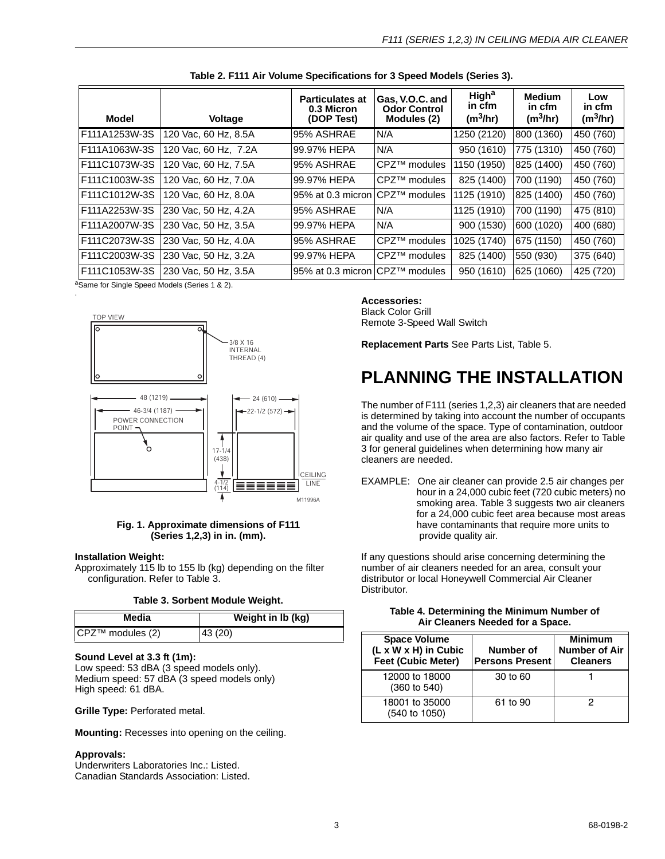| Model                                                   | <b>Voltage</b>       | <b>Particulates at</b><br>0.3 Micron<br>(DOP Test) | Gas, V.O.C. and<br><b>Odor Control</b><br>Modules (2) | <b>High<sup>a</sup></b><br>in cfm<br>(m <sup>3</sup> /hr) | <b>Medium</b><br>in cfm<br>(m <sup>3</sup> /hr) | Low<br>in cfm<br>(m <sup>3</sup> /hr) |
|---------------------------------------------------------|----------------------|----------------------------------------------------|-------------------------------------------------------|-----------------------------------------------------------|-------------------------------------------------|---------------------------------------|
| F111A1253W-3S                                           | 120 Vac, 60 Hz, 8.5A | 95% ASHRAE                                         | N/A                                                   | 1250 (2120)                                               | 800 (1360)                                      | 450 (760)                             |
| F111A1063W-3S                                           | 120 Vac. 60 Hz. 7.2A | 99.97% HEPA                                        | N/A                                                   | 950 (1610)                                                | 775 (1310)                                      | 450 (760)                             |
| F111C1073W-3S                                           | 120 Vac. 60 Hz. 7.5A | 95% ASHRAE                                         | CPZ™ modules                                          | 1150 (1950)                                               | 825 (1400)                                      | 450 (760)                             |
| F111C1003W-3S                                           | 120 Vac. 60 Hz. 7.0A | 99.97% HEPA                                        | CPZ™ modules                                          | 825 (1400)                                                | 700 (1190)                                      | 450 (760)                             |
| F111C1012W-3S                                           | 120 Vac. 60 Hz. 8.0A | 95% at 0.3 micron                                  | <b>CPZ<sup>™</sup> modules</b>                        | 1125 (1910)                                               | 825 (1400)                                      | 450 (760)                             |
| F111A2253W-3S                                           | 230 Vac. 50 Hz. 4.2A | 95% ASHRAE                                         | N/A                                                   | 1125 (1910)                                               | 700 (1190)                                      | 475 (810)                             |
| F111A2007W-3S                                           | 230 Vac. 50 Hz, 3.5A | 99.97% HEPA                                        | N/A                                                   | 900 (1530)                                                | 600 (1020)                                      | 400 (680)                             |
| F111C2073W-3S                                           | 230 Vac, 50 Hz, 4.0A | 95% ASHRAE                                         | CPZ™ modules                                          | 1025 (1740)                                               | 675 (1150)                                      | 450 (760)                             |
| F111C2003W-3S                                           | 230 Vac, 50 Hz, 3.2A | 99.97% HEPA                                        | CPZ™ modules                                          | 825 (1400)                                                | 550 (930)                                       | 375 (640)                             |
| <b>IF111C1053W-3S</b><br>30 <i>(O'I</i> O INII) (O'IIO) | 230 Vac, 50 Hz, 3.5A | 95% at 0.3 micron CPZ™ modules                     |                                                       | 950 (1610)                                                | 625 (1060)                                      | 425 (720)                             |

| Table 2. F111 Air Volume Specifications for 3 Speed Models (Series 3). |  |  |  |
|------------------------------------------------------------------------|--|--|--|
|------------------------------------------------------------------------|--|--|--|

<sup>a</sup>Same for Single Speed Models (Series 1 & 2). .



#### **Fig. 1. Approximate dimensions of F111 (Series 1,2,3) in in. (mm).**

#### **Installation Weight:**

Approximately 115 lb to 155 lb (kg) depending on the filter configuration. Refer to Table 3.

| Media               | Weight in Ib (kg) |  |  |
|---------------------|-------------------|--|--|
| $ CPZ™$ modules (2) | 43 (20)           |  |  |

#### **Sound Level at 3.3 ft (1m):**

Low speed: 53 dBA (3 speed models only). Medium speed: 57 dBA (3 speed models only) High speed: 61 dBA.

**Grille Type:** Perforated metal.

**Mounting:** Recesses into opening on the ceiling.

#### **Approvals:**

Underwriters Laboratories Inc.: Listed. Canadian Standards Association: Listed.

#### **Accessories:**

Black Color Grill Remote 3-Speed Wall Switch

**Replacement Parts** See Parts List, Table 5.

# **PLANNING THE INSTALLATION**

The number of F111 (series 1,2,3) air cleaners that are needed is determined by taking into account the number of occupants and the volume of the space. Type of contamination, outdoor air quality and use of the area are also factors. Refer to Table 3 for general guidelines when determining how many air cleaners are needed.

EXAMPLE: One air cleaner can provide 2.5 air changes per hour in a 24,000 cubic feet (720 cubic meters) no smoking area. Table 3 suggests two air cleaners for a 24,000 cubic feet area because most areas have contaminants that require more units to provide quality air.

If any questions should arise concerning determining the number of air cleaners needed for an area, consult your distributor or local Honeywell Commercial Air Cleaner Distributor.

| <b>Space Volume</b><br>(L x W x H) in Cubic<br><b>Feet (Cubic Meter)</b> | Number of<br><b>Persons Present</b> | <b>Minimum</b><br><b>Number of Air</b><br><b>Cleaners</b> |  |  |
|--------------------------------------------------------------------------|-------------------------------------|-----------------------------------------------------------|--|--|
| 12000 to 18000<br>(360 to 540)                                           | 30 to 60                            |                                                           |  |  |
| 18001 to 35000<br>(540 to 1050)                                          | 61 to 90                            | 2                                                         |  |  |

#### **Table 4. Determining the Minimum Number of Air Cleaners Needed for a Space.**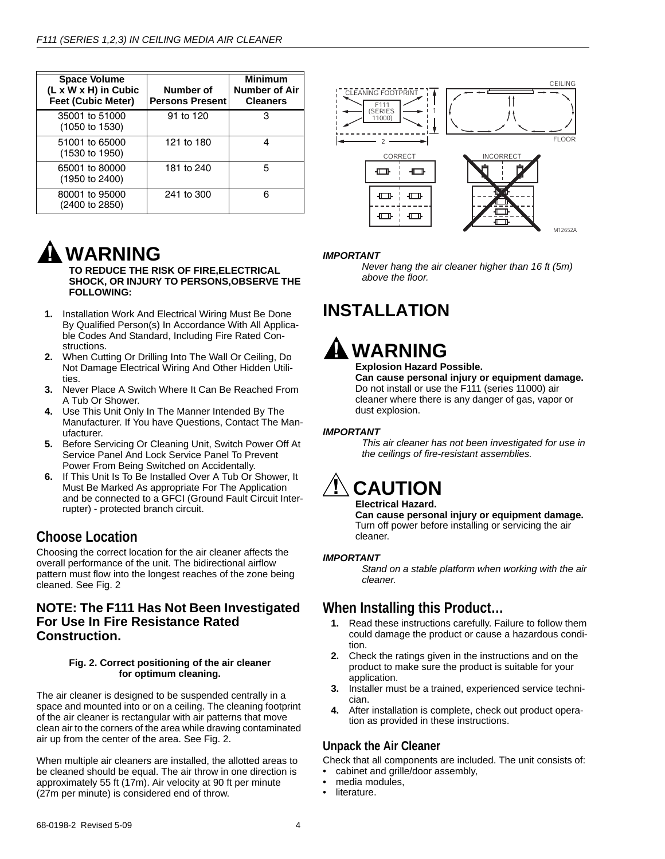| <b>Space Volume</b><br>(L x W x H) in Cubic<br><b>Feet (Cubic Meter)</b> | Number of<br><b>Persons Present</b> | <b>Minimum</b><br>Number of Air<br><b>Cleaners</b> |
|--------------------------------------------------------------------------|-------------------------------------|----------------------------------------------------|
| 35001 to 51000<br>(1050 to 1530)                                         | 91 to 120                           | 3                                                  |
| 51001 to 65000<br>$(1530 \text{ to } 1950)$                              | 121 to 180                          | 4                                                  |
| 65001 to 80000<br>(1950 to 2400)                                         | 181 to 240                          | 5                                                  |
| 80001 to 95000<br>(2400 to 2850)                                         | 241 to 300                          | 6                                                  |



# *IMPORTANT*

*Never hang the air cleaner higher than 16 ft (5m) above the floor.*

# **INSTALLATION**



# **Explosion Hazard Possible.**

**Can cause personal injury or equipment damage.** Do not install or use the F111 (series 11000) air cleaner where there is any danger of gas, vapor or dust explosion.

# *IMPORTANT*

*This air cleaner has not been investigated for use in the ceilings of fire-resistant assemblies.*

# **CAUTION**

#### **Electrical Hazard.**

**Can cause personal injury or equipment damage.** Turn off power before installing or servicing the air cleaner.

# *IMPORTANT*

*Stand on a stable platform when working with the air cleaner.*

# **When Installing this Product…**

- **1.** Read these instructions carefully. Failure to follow them could damage the product or cause a hazardous condition.
- **2.** Check the ratings given in the instructions and on the product to make sure the product is suitable for your application.
- **3.** Installer must be a trained, experienced service technician.
- **4.** After installation is complete, check out product operation as provided in these instructions.

# **Unpack the Air Cleaner**

Check that all components are included. The unit consists of:

- cabinet and grille/door assembly,
- media modules,
- literature.

# **WARNING**

**TO REDUCE THE RISK OF FIRE,ELECTRICAL SHOCK, OR INJURY TO PERSONS,OBSERVE THE FOLLOWING:**

- **1.** Installation Work And Electrical Wiring Must Be Done By Qualified Person(s) In Accordance With All Applicable Codes And Standard, Including Fire Rated Constructions.
- **2.** When Cutting Or Drilling Into The Wall Or Ceiling, Do Not Damage Electrical Wiring And Other Hidden Utilities.
- **3.** Never Place A Switch Where It Can Be Reached From A Tub Or Shower.
- **4.** Use This Unit Only In The Manner Intended By The Manufacturer. If You have Questions, Contact The Manufacturer.
- **5.** Before Servicing Or Cleaning Unit, Switch Power Off At Service Panel And Lock Service Panel To Prevent Power From Being Switched on Accidentally.
- **6.** If This Unit Is To Be Installed Over A Tub Or Shower, It Must Be Marked As appropriate For The Application and be connected to a GFCI (Ground Fault Circuit Interrupter) - protected branch circuit.

# **Choose Location**

Choosing the correct location for the air cleaner affects the overall performance of the unit. The bidirectional airflow pattern must flow into the longest reaches of the zone being cleaned. See Fig. 2

# **NOTE: The F111 Has Not Been Investigated For Use In Fire Resistance Rated Construction.**

### **Fig. 2. Correct positioning of the air cleaner for optimum cleaning.**

The air cleaner is designed to be suspended centrally in a space and mounted into or on a ceiling. The cleaning footprint of the air cleaner is rectangular with air patterns that move clean air to the corners of the area while drawing contaminated air up from the center of the area. See Fig. 2.

When multiple air cleaners are installed, the allotted areas to be cleaned should be equal. The air throw in one direction is approximately 55 ft (17m). Air velocity at 90 ft per minute (27m per minute) is considered end of throw.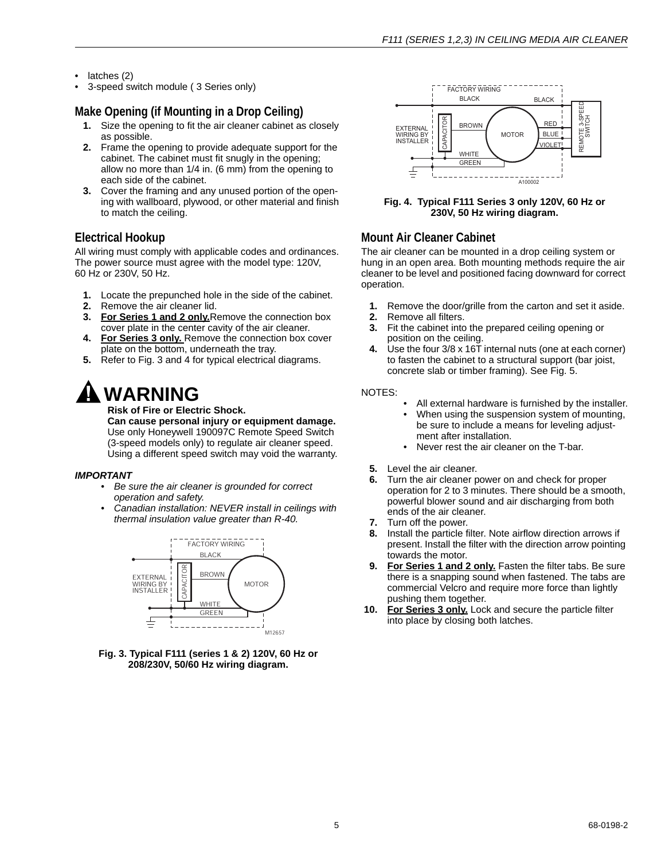- latches (2)
- 3-speed switch module ( 3 Series only)

# **Make Opening (if Mounting in a Drop Ceiling)**

- **1.** Size the opening to fit the air cleaner cabinet as closely as possible.
- **2.** Frame the opening to provide adequate support for the cabinet. The cabinet must fit snugly in the opening; allow no more than 1/4 in. (6 mm) from the opening to each side of the cabinet.
- **3.** Cover the framing and any unused portion of the opening with wallboard, plywood, or other material and finish to match the ceiling.

# **Electrical Hookup**

All wiring must comply with applicable codes and ordinances. The power source must agree with the model type: 120V, 60 Hz or 230V, 50 Hz.

- **1.** Locate the prepunched hole in the side of the cabinet.
- **2.** Remove the air cleaner lid.
- **3. For Series 1 and 2 only.**Remove the connection box cover plate in the center cavity of the air cleaner.
- **4. For Series 3 only.** Remove the connection box cover plate on the bottom, underneath the tray.
- **5.** Refer to Fig. 3 and 4 for typical electrical diagrams.

# **WARNING**

**Risk of Fire or Electric Shock.**

**Can cause personal injury or equipment damage.** Use only Honeywell 190097C Remote Speed Switch (3-speed models only) to regulate air cleaner speed. Using a different speed switch may void the warranty.

# *IMPORTANT*

- *Be sure the air cleaner is grounded for correct operation and safety.*
- *Canadian installation: NEVER install in ceilings with thermal insulation value greater than R-40.*







### **Fig. 4. Typical F111 Series 3 only 120V, 60 Hz or 230V, 50 Hz wiring diagram.**

# **Mount Air Cleaner Cabinet**

The air cleaner can be mounted in a drop ceiling system or hung in an open area. Both mounting methods require the air cleaner to be level and positioned facing downward for correct operation.

- **1.** Remove the door/grille from the carton and set it aside.
- **2.** Remove all filters.
- **3.** Fit the cabinet into the prepared ceiling opening or position on the ceiling.
- **4.** Use the four 3/8 x 16T internal nuts (one at each corner) to fasten the cabinet to a structural support (bar joist, concrete slab or timber framing). See Fig. 5.

### NOTES:

- All external hardware is furnished by the installer. • When using the suspension system of mounting,
- be sure to include a means for leveling adjustment after installation.
- Never rest the air cleaner on the T-bar.
- **5.** Level the air cleaner.
- **6.** Turn the air cleaner power on and check for proper operation for 2 to 3 minutes. There should be a smooth, powerful blower sound and air discharging from both ends of the air cleaner.
- **7.** Turn off the power.
- **8.** Install the particle filter. Note airflow direction arrows if present. Install the filter with the direction arrow pointing towards the motor.
- 9. For Series 1 and 2 only. Fasten the filter tabs. Be sure there is a snapping sound when fastened. The tabs are commercial Velcro and require more force than lightly pushing them together.
- **10. For Series 3 only.** Lock and secure the particle filter into place by closing both latches.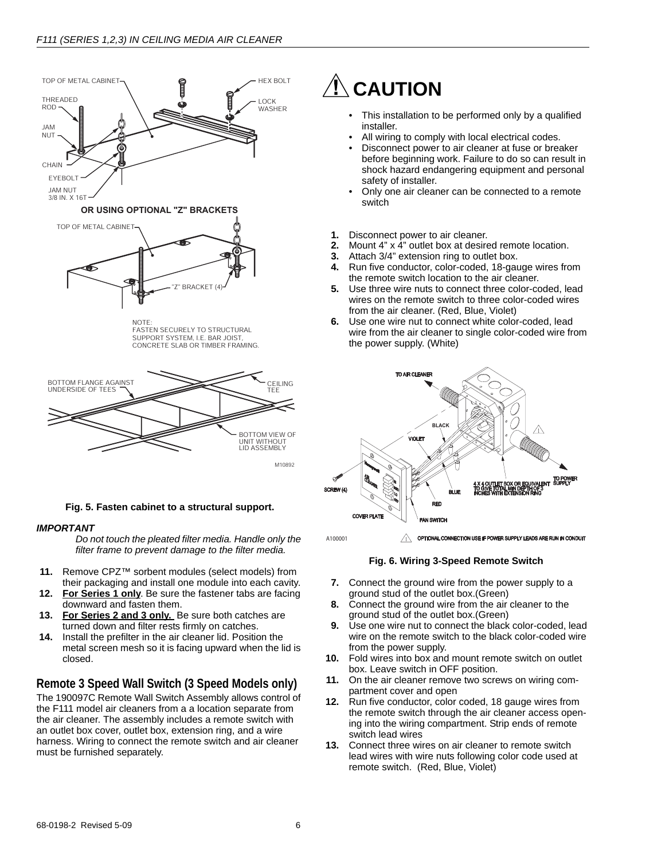

SUPPORT SYSTEM, I.E. BAR JOIST CONCRETE SLAB OR TIMBER FRAMING.



**Fig. 5. Fasten cabinet to a structural support.**

### *IMPORTANT*

*Do not touch the pleated filter media. Handle only the filter frame to prevent damage to the filter media.*

- **11.** Remove CPZ™ sorbent modules (select models) from their packaging and install one module into each cavity.
- **12. For Series 1 only**. Be sure the fastener tabs are facing downward and fasten them.
- 13. For Series 2 and 3 only. Be sure both catches are turned down and filter rests firmly on catches.
- **14.** Install the prefilter in the air cleaner lid. Position the metal screen mesh so it is facing upward when the lid is closed.

# **Remote 3 Speed Wall Switch (3 Speed Models only)**

The 190097C Remote Wall Switch Assembly allows control of the F111 model air cleaners from a a location separate from the air cleaner. The assembly includes a remote switch with an outlet box cover, outlet box, extension ring, and a wire harness. Wiring to connect the remote switch and air cleaner must be furnished separately.

# **CAUTION**

- This installation to be performed only by a qualified installer.
- All wiring to comply with local electrical codes.
- Disconnect power to air cleaner at fuse or breaker before beginning work. Failure to do so can result in shock hazard endangering equipment and personal safety of installer.
- Only one air cleaner can be connected to a remote switch
- **1.** Disconnect power to air cleaner.
- **2.** Mount 4" x 4" outlet box at desired remote location.
- **3.** Attach 3/4" extension ring to outlet box.
- **4.** Run five conductor, color-coded, 18-gauge wires from the remote switch location to the air cleaner.
- **5.** Use three wire nuts to connect three color-coded, lead wires on the remote switch to three color-coded wires from the air cleaner. (Red, Blue, Violet)
- **6.** Use one wire nut to connect white color-coded, lead wire from the air cleaner to single color-coded wire from the power supply. (White)



 $\sqrt{1}$  optional connection use if power supply leads are run in conduit

#### **Fig. 6. Wiring 3-Speed Remote Switch**

- **7.** Connect the ground wire from the power supply to a ground stud of the outlet box.(Green)
- **8.** Connect the ground wire from the air cleaner to the ground stud of the outlet box.(Green)
- **9.** Use one wire nut to connect the black color-coded, lead wire on the remote switch to the black color-coded wire from the power supply.
- **10.** Fold wires into box and mount remote switch on outlet box. Leave switch in OFF position.
- **11.** On the air cleaner remove two screws on wiring compartment cover and open
- **12.** Run five conductor, color coded, 18 gauge wires from the remote switch through the air cleaner access opening into the wiring compartment. Strip ends of remote switch lead wires
- **13.** Connect three wires on air cleaner to remote switch lead wires with wire nuts following color code used at remote switch. (Red, Blue, Violet)

A100001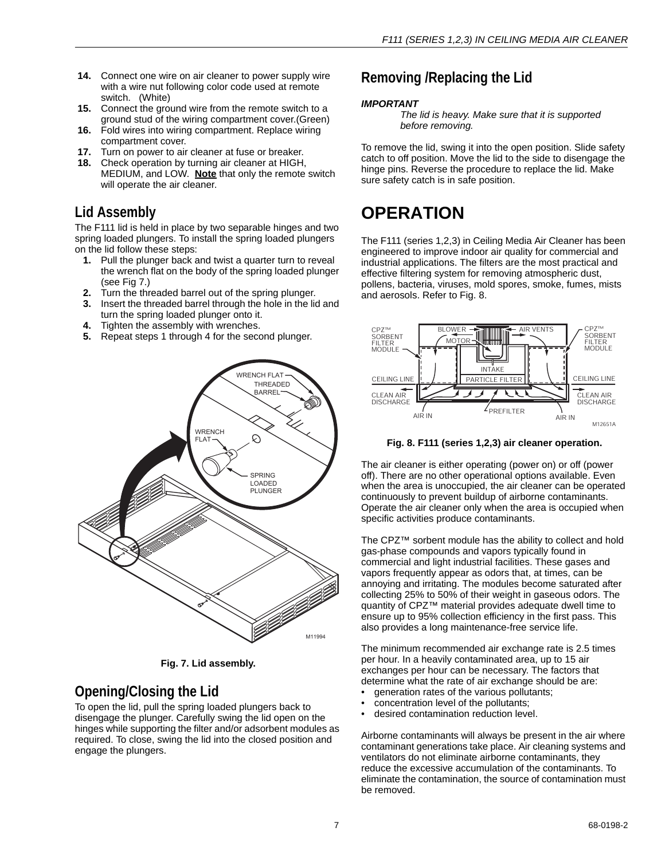- **14.** Connect one wire on air cleaner to power supply wire with a wire nut following color code used at remote switch. (White)
- **15.** Connect the ground wire from the remote switch to a ground stud of the wiring compartment cover.(Green)
- **16.** Fold wires into wiring compartment. Replace wiring compartment cover.
- **17.** Turn on power to air cleaner at fuse or breaker.
- **18.** Check operation by turning air cleaner at HIGH, MEDIUM, and LOW. **Note** that only the remote switch will operate the air cleaner.

# **Lid Assembly**

The F111 lid is held in place by two separable hinges and two spring loaded plungers. To install the spring loaded plungers on the lid follow these steps:

- **1.** Pull the plunger back and twist a quarter turn to reveal the wrench flat on the body of the spring loaded plunger (see Fig 7.)
- **2.** Turn the threaded barrel out of the spring plunger.
- **3.** Insert the threaded barrel through the hole in the lid and turn the spring loaded plunger onto it.
- **4.** Tighten the assembly with wrenches.
- **5.** Repeat steps 1 through 4 for the second plunger.



**Fig. 7. Lid assembly.**

# **Opening/Closing the Lid**

To open the lid, pull the spring loaded plungers back to disengage the plunger. Carefully swing the lid open on the hinges while supporting the filter and/or adsorbent modules as required. To close, swing the lid into the closed position and engage the plungers.

# **Removing /Replacing the Lid**

# *IMPORTANT*

*The lid is heavy. Make sure that it is supported before removing.*

To remove the lid, swing it into the open position. Slide safety catch to off position. Move the lid to the side to disengage the hinge pins. Reverse the procedure to replace the lid. Make sure safety catch is in safe position.

# **OPERATION**

The F111 (series 1,2,3) in Ceiling Media Air Cleaner has been engineered to improve indoor air quality for commercial and industrial applications. The filters are the most practical and effective filtering system for removing atmospheric dust, pollens, bacteria, viruses, mold spores, smoke, fumes, mists and aerosols. Refer to Fig. 8.



**Fig. 8. F111 (series 1,2,3) air cleaner operation.**

The air cleaner is either operating (power on) or off (power off). There are no other operational options available. Even when the area is unoccupied, the air cleaner can be operated continuously to prevent buildup of airborne contaminants. Operate the air cleaner only when the area is occupied when specific activities produce contaminants.

The CPZ™ sorbent module has the ability to collect and hold gas-phase compounds and vapors typically found in commercial and light industrial facilities. These gases and vapors frequently appear as odors that, at times, can be annoying and irritating. The modules become saturated after collecting 25% to 50% of their weight in gaseous odors. The quantity of CPZ™ material provides adequate dwell time to ensure up to 95% collection efficiency in the first pass. This also provides a long maintenance-free service life.

The minimum recommended air exchange rate is 2.5 times per hour. In a heavily contaminated area, up to 15 air exchanges per hour can be necessary. The factors that determine what the rate of air exchange should be are:

- generation rates of the various pollutants;
- concentration level of the pollutants;
- desired contamination reduction level.

Airborne contaminants will always be present in the air where contaminant generations take place. Air cleaning systems and ventilators do not eliminate airborne contaminants, they reduce the excessive accumulation of the contaminants. To eliminate the contamination, the source of contamination must be removed.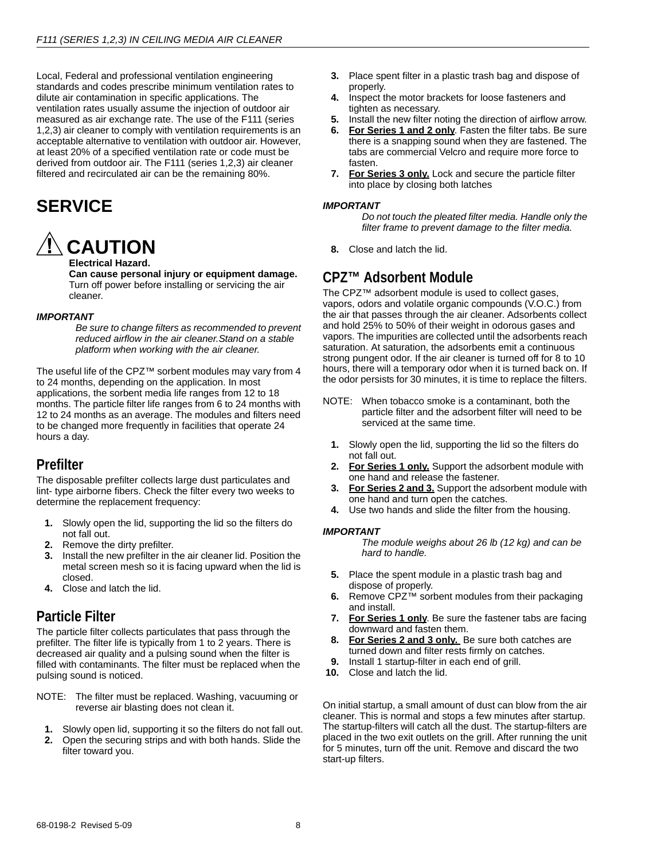Local, Federal and professional ventilation engineering standards and codes prescribe minimum ventilation rates to dilute air contamination in specific applications. The ventilation rates usually assume the injection of outdoor air measured as air exchange rate. The use of the F111 (series 1,2,3) air cleaner to comply with ventilation requirements is an acceptable alternative to ventilation with outdoor air. However, at least 20% of a specified ventilation rate or code must be derived from outdoor air. The F111 (series 1,2,3) air cleaner filtered and recirculated air can be the remaining 80%.

# **SERVICE**



**Electrical Hazard.**

**Can cause personal injury or equipment damage.** Turn off power before installing or servicing the air cleaner.

#### *IMPORTANT*

*Be sure to change filters as recommended to prevent reduced airflow in the air cleaner.Stand on a stable platform when working with the air cleaner.*

The useful life of the CPZ™ sorbent modules may vary from 4 to 24 months, depending on the application. In most applications, the sorbent media life ranges from 12 to 18 months. The particle filter life ranges from 6 to 24 months with 12 to 24 months as an average. The modules and filters need to be changed more frequently in facilities that operate 24 hours a day.

# **Prefilter**

The disposable prefilter collects large dust particulates and lint- type airborne fibers. Check the filter every two weeks to determine the replacement frequency:

- **1.** Slowly open the lid, supporting the lid so the filters do not fall out.
- **2.** Remove the dirty prefilter.
- **3.** Install the new prefilter in the air cleaner lid. Position the metal screen mesh so it is facing upward when the lid is closed.
- **4.** Close and latch the lid.

# **Particle Filter**

The particle filter collects particulates that pass through the prefilter. The filter life is typically from 1 to 2 years. There is decreased air quality and a pulsing sound when the filter is filled with contaminants. The filter must be replaced when the pulsing sound is noticed.

- NOTE: The filter must be replaced. Washing, vacuuming or reverse air blasting does not clean it.
	- **1.** Slowly open lid, supporting it so the filters do not fall out.
	- **2.** Open the securing strips and with both hands. Slide the filter toward you.
- **3.** Place spent filter in a plastic trash bag and dispose of properly.
- **4.** Inspect the motor brackets for loose fasteners and tighten as necessary.
- **5.** Install the new filter noting the direction of airflow arrow.
- **6.** For Series 1 and 2 only. Fasten the filter tabs. Be sure there is a snapping sound when they are fastened. The tabs are commercial Velcro and require more force to fasten.
- **7. For Series 3 only.** Lock and secure the particle filter into place by closing both latches

#### *IMPORTANT*

*Do not touch the pleated filter media. Handle only the filter frame to prevent damage to the filter media.*

**8.** Close and latch the lid.

# **CPZ™ Adsorbent Module**

The CPZ™ adsorbent module is used to collect gases, vapors, odors and volatile organic compounds (V.O.C.) from the air that passes through the air cleaner. Adsorbents collect and hold 25% to 50% of their weight in odorous gases and vapors. The impurities are collected until the adsorbents reach saturation. At saturation, the adsorbents emit a continuous strong pungent odor. If the air cleaner is turned off for 8 to 10 hours, there will a temporary odor when it is turned back on. If the odor persists for 30 minutes, it is time to replace the filters.

- NOTE: When tobacco smoke is a contaminant, both the particle filter and the adsorbent filter will need to be serviced at the same time.
	- **1.** Slowly open the lid, supporting the lid so the filters do not fall out.
	- **2. For Series 1 only.** Support the adsorbent module with one hand and release the fastener.
	- **3. For Series 2 and 3.** Support the adsorbent module with one hand and turn open the catches.
	- **4.** Use two hands and slide the filter from the housing.

# *IMPORTANT*

*The module weighs about 26 lb (12 kg) and can be hard to handle.*

- **5.** Place the spent module in a plastic trash bag and dispose of properly.
- **6.** Remove CPZ™ sorbent modules from their packaging and install.
- **7. For Series 1 only**. Be sure the fastener tabs are facing downward and fasten them.
- **8. For Series 2 and 3 only.** Be sure both catches are turned down and filter rests firmly on catches.
- **9.** Install 1 startup-filter in each end of grill.
- **10.** Close and latch the lid.

On initial startup, a small amount of dust can blow from the air cleaner. This is normal and stops a few minutes after startup. The startup-filters will catch all the dust. The startup-filters are placed in the two exit outlets on the grill. After running the unit for 5 minutes, turn off the unit. Remove and discard the two start-up filters.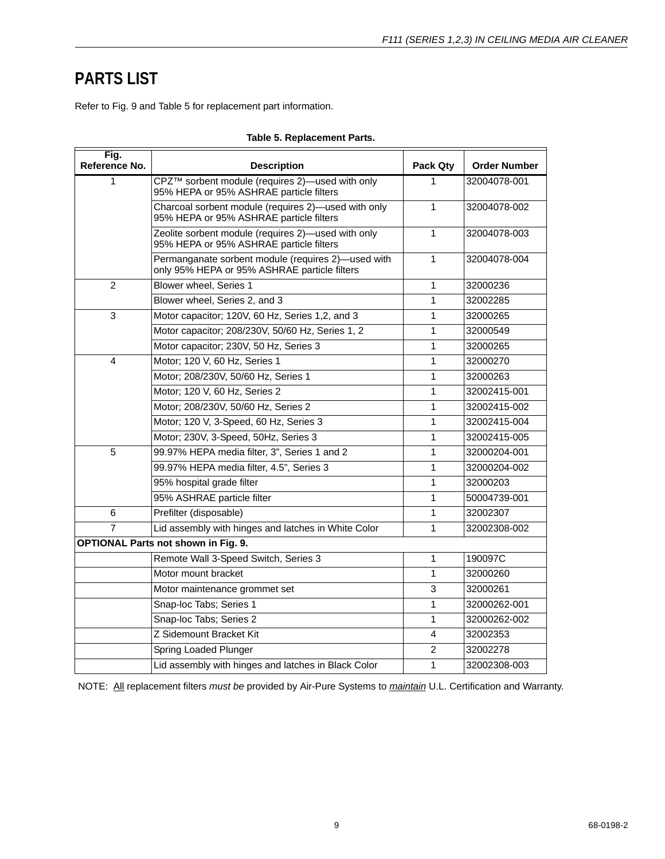# **PARTS LIST**

Refer to Fig. 9 and Table 5 for replacement part information.

| Fig.<br>Reference No. | <b>Description</b>                                                                                 | Pack Qty     | <b>Order Number</b> |
|-----------------------|----------------------------------------------------------------------------------------------------|--------------|---------------------|
| 1                     | CPZ™ sorbent module (requires 2)—used with only<br>95% HEPA or 95% ASHRAE particle filters         | 1            | 32004078-001        |
|                       | Charcoal sorbent module (requires 2)-used with only<br>95% HEPA or 95% ASHRAE particle filters     | 1            | 32004078-002        |
|                       | Zeolite sorbent module (requires 2)-used with only<br>95% HEPA or 95% ASHRAE particle filters      | $\mathbf{1}$ | 32004078-003        |
|                       | Permanganate sorbent module (requires 2)-used with<br>only 95% HEPA or 95% ASHRAE particle filters | 1            | 32004078-004        |
| $\overline{2}$        | Blower wheel, Series 1                                                                             | 1            | 32000236            |
|                       | Blower wheel, Series 2, and 3                                                                      | 1            | 32002285            |
| 3                     | Motor capacitor; 120V, 60 Hz, Series 1,2, and 3                                                    | 1            | 32000265            |
|                       | Motor capacitor; 208/230V, 50/60 Hz, Series 1, 2                                                   | 1            | 32000549            |
|                       | Motor capacitor; 230V, 50 Hz, Series 3                                                             | 1            | 32000265            |
| 4                     | Motor; 120 V, 60 Hz, Series 1                                                                      | 1            | 32000270            |
|                       | Motor; 208/230V, 50/60 Hz, Series 1                                                                | 1            | 32000263            |
|                       | Motor; 120 V, 60 Hz, Series 2                                                                      | 1            | 32002415-001        |
|                       | Motor; 208/230V, 50/60 Hz, Series 2                                                                | 1            | 32002415-002        |
|                       | Motor; 120 V, 3-Speed, 60 Hz, Series 3                                                             | 1            | 32002415-004        |
|                       | Motor; 230V, 3-Speed, 50Hz, Series 3                                                               | 1            | 32002415-005        |
| 5                     | 99.97% HEPA media filter, 3", Series 1 and 2                                                       | 1            | 32000204-001        |
|                       | 99.97% HEPA media filter, 4.5", Series 3                                                           | 1            | 32000204-002        |
|                       | 95% hospital grade filter                                                                          | 1            | 32000203            |
|                       | 95% ASHRAE particle filter                                                                         | 1            | 50004739-001        |
| 6                     | Prefilter (disposable)                                                                             | 1            | 32002307            |
| $\overline{7}$        | Lid assembly with hinges and latches in White Color                                                | 1            | 32002308-002        |
|                       | <b>OPTIONAL Parts not shown in Fig. 9.</b>                                                         |              |                     |
|                       | Remote Wall 3-Speed Switch, Series 3                                                               | 1            | 190097C             |
|                       | Motor mount bracket                                                                                | 1            | 32000260            |
|                       | Motor maintenance grommet set                                                                      | 3            | 32000261            |
|                       | Snap-loc Tabs; Series 1                                                                            | 1            | 32000262-001        |
|                       | Snap-loc Tabs; Series 2                                                                            | $\mathbf{1}$ | 32000262-002        |
|                       | Z Sidemount Bracket Kit                                                                            | 4            | 32002353            |
|                       | Spring Loaded Plunger                                                                              | 2            | 32002278            |
|                       | Lid assembly with hinges and latches in Black Color                                                | 1            | 32002308-003        |

# **Table 5. Replacement Parts.**

NOTE: All replacement filters *must be* provided by Air-Pure Systems to *maintain* U.L. Certification and Warranty.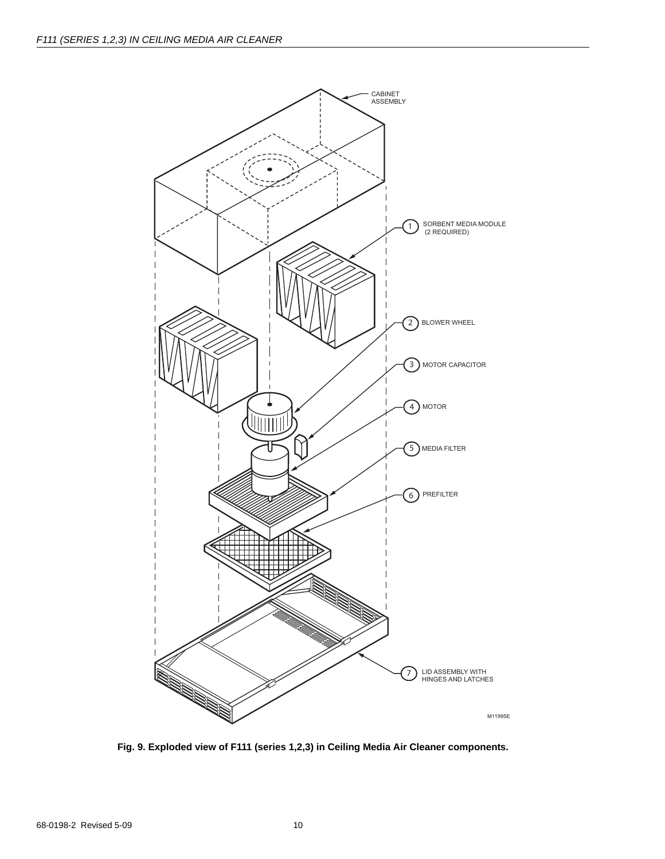

**Fig. 9. Exploded view of F111 (series 1,2,3) in Ceiling Media Air Cleaner components.**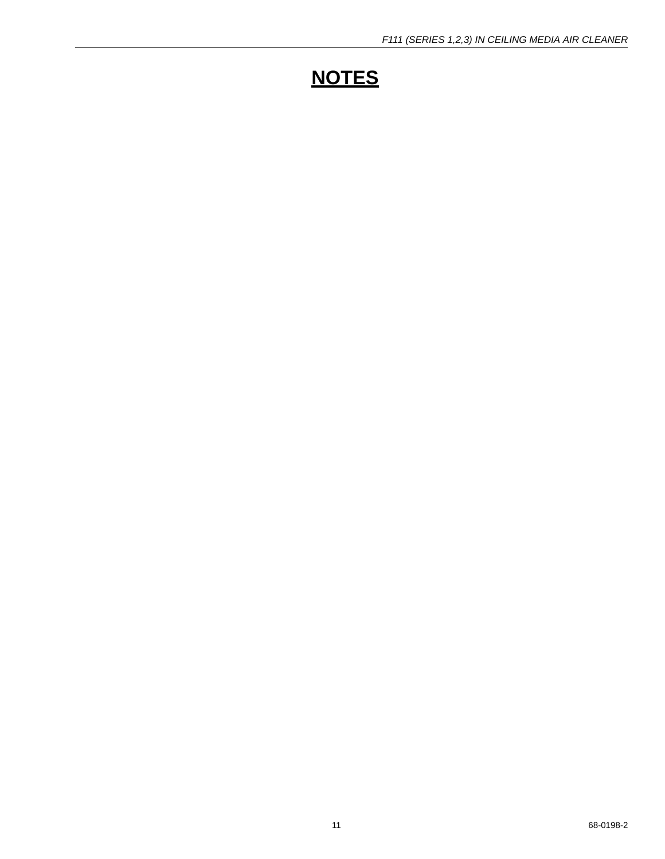# **NOTES**